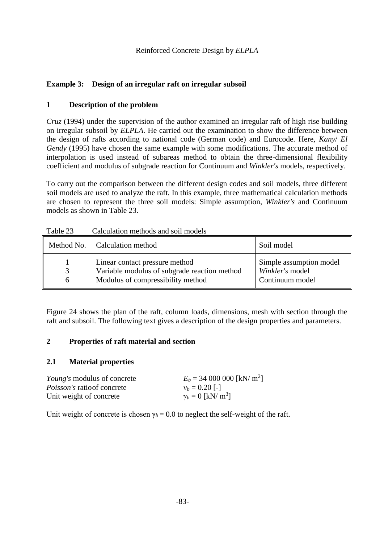## **Example 3: Design of an irregular raft on irregular subsoil**

## **1 Description of the problem**

*Cruz* (1994) under the supervision of the author examined an irregular raft of high rise building on irregular subsoil by *ELPLA*. He carried out the examination to show the difference between the design of rafts according to national code (German code) and Eurocode. Here, *Kany*/ *El Gendy* (1995) have chosen the same example with some modifications. The accurate method of interpolation is used instead of subareas method to obtain the three-dimensional flexibility coefficient and modulus of subgrade reaction for Continuum and *Winkler's* models, respectively.

To carry out the comparison between the different design codes and soil models, three different soil models are used to analyze the raft. In this example, three mathematical calculation methods are chosen to represent the three soil models: Simple assumption, *Winkler's* and Continuum models as shown in [Table 23.](#page-0-0)

|                    | Method No.   Calculation method                                                                                     | Soil model                                                    |
|--------------------|---------------------------------------------------------------------------------------------------------------------|---------------------------------------------------------------|
| $\mathcal{R}$<br>6 | Linear contact pressure method<br>Variable modulus of subgrade reaction method<br>Modulus of compressibility method | Simple assumption model<br>Winkler's model<br>Continuum model |

<span id="page-0-0"></span>Table 23 Calculation methods and soil models

[Figure 24](#page-1-0) shows the plan of the raft, column loads, dimensions, mesh with section through the raft and subsoil. The following text gives a description of the design properties and parameters.

## **2 Properties of raft material and section**

## **2.1 Material properties**

| <i>Young's</i> modulus of concrete | $E_b = 34\,000\,000$ [kN/ m <sup>2</sup> ] |
|------------------------------------|--------------------------------------------|
| <i>Poisson's</i> ratio of concrete | $v_b = 0.20$ [-]                           |
| Unit weight of concrete            | $\gamma_b = 0$ [kN/ m <sup>3</sup> ]       |

Unit weight of concrete is chosen  $\gamma_b = 0.0$  to neglect the self-weight of the raft.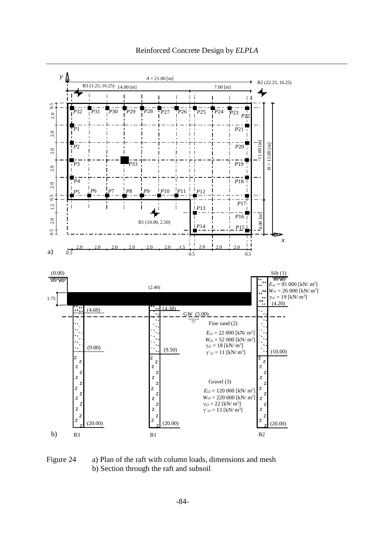

#### Reinforced Concrete Design by *ELPLA*

<span id="page-1-0"></span>Figure 24 a) Plan of the raft with column loads, dimensions and mesh b) Section through the raft and subsoil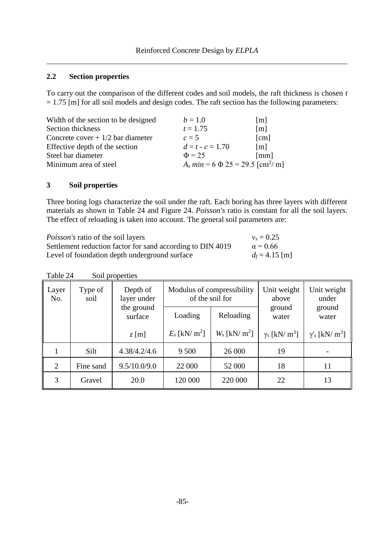#### **2.2 Section properties**

To carry out the comparison of the different codes and soil models, the raft thickness is chosen *t*  $= 1.75$  [m] for all soil models and design codes. The raft section has the following parameters:

| Width of the section to be designed | $b = 1.0$                                         | $\lceil m \rceil$ |
|-------------------------------------|---------------------------------------------------|-------------------|
| Section thickness                   | $t = 1.75$                                        | $\lceil m \rceil$ |
| Concrete cover $+1/2$ bar diameter  | $c=5$                                             | [cm]              |
| Effective depth of the section      | $d = t - c = 1.70$                                | $\lceil m \rceil$ |
| Steel bar diameter                  | $\Phi = 25$                                       | [mm]              |
| Minimum area of steel               | $A_s min = 6 \Phi 25 = 29.5$ [cm <sup>2</sup> /m] |                   |

#### **3 Soil properties**

Three boring logs characterize the soil under the raft. Each boring has three layers with different materials as shown in [Table 24](#page-2-0) and [Figure 24.](#page-1-0) *Poisson's* ratio is constant for all the soil layers. The effect of reloading is taken into account. The general soil parameters are:

| <i>Poisson's</i> ratio of the soil layers                  | $v_s = 0.25$     |
|------------------------------------------------------------|------------------|
| Settlement reduction factor for sand according to DIN 4019 | $\alpha = 0.66$  |
| Level of foundation depth underground surface              | $d_f = 4.15$ [m] |

<span id="page-2-0"></span>

| Layer<br>No. | Type of<br>soil | Depth of<br>layer under | Modulus of compressibility  | of the soil for             | Unit weight<br>above             | Unit weight<br>under                         |
|--------------|-----------------|-------------------------|-----------------------------|-----------------------------|----------------------------------|----------------------------------------------|
|              |                 | the ground<br>surface   | Loading                     | Reloading                   | ground<br>water                  | ground<br>water                              |
|              |                 | $z$ [m]                 | $E_s$ [kN/ m <sup>2</sup> ] | $W_s$ [kN/ m <sup>2</sup> ] | $\gamma_s$ [kN/ m <sup>3</sup> ] | $\gamma'$ <sub>s</sub> [kN/ m <sup>3</sup> ] |
|              | Silt            | 4.38/4.2/4.6            | 9 5 0 0                     | 26 000                      | 19                               |                                              |
| 2            | Fine sand       | 9.5/10.0/9.0            | 22 000                      | 52 000                      | 18                               | 11                                           |
| 3            | Gravel          | 20.0                    | 120 000                     | 220 000                     | 22                               | 13                                           |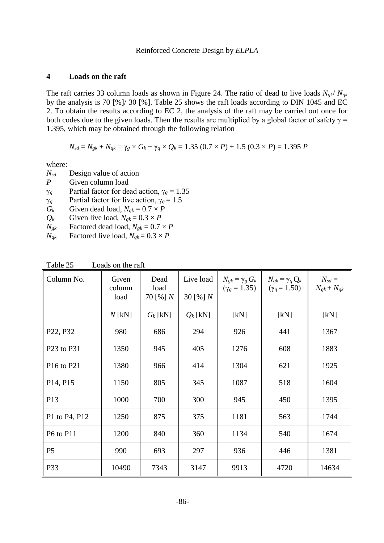#### **4 Loads on the raft**

The raft carries 33 column loads as shown in [Figure 24.](#page-1-0) The ratio of dead to live loads  $N_{gk}$ / $N_{gk}$ by the analysis is 70 [%]/ 30 [%]. [Table 25](#page-3-0) shows the raft loads according to DIN 1045 and EC 2. To obtain the results according to EC 2, the analysis of the raft may be carried out once for both codes due to the given loads. Then the results are multiplied by a global factor of safety  $\gamma$  = 1.395, which may be obtained through the following relation

$$
N_{sd} = N_{gk} + N_{qk} = \gamma_g \times G_k + \gamma_q \times Q_k = 1.35 (0.7 \times P) + 1.5 (0.3 \times P) = 1.395 P
$$

where:

- *Nsd* Design value of action
- *P* Given column load
- *γ<sub>g</sub>* Partial factor for dead action,  $γ_g = 1.35$
- γ*<sup>q</sup>* Partial factor for live action, γ*<sup>q</sup>* = 1.5
- $G_k$  Given dead load,  $N_{gk} = 0.7 \times P$
- $Q_k$  Given live load,  $N_{qk} = 0.3 \times P$
- $N_{gk}$  Factored dead load,  $N_{gk} = 0.7 \times P$
- *N*<sup>*qk*</sup> Factored live load,  $N_{qk} = 0.3 \times P$

| Column No.                         | Given<br>column<br>load | Dead<br>load<br>70 [%] $N$ |            | $N_{gk} = \gamma_g G_k$<br>$(\gamma_g = 1.35)$ | $N_{qk} = \gamma_q Q_k$<br>$(\gamma_q = 1.50)$ | $N_{sd} =$<br>$N_{gk}+N_{qk}$ |
|------------------------------------|-------------------------|----------------------------|------------|------------------------------------------------|------------------------------------------------|-------------------------------|
|                                    | $N$ [kN]                | $G_k$ [kN]                 | $Q_k$ [kN] | [kN]                                           | [kN]                                           | [kN]                          |
| P <sub>22</sub> , P <sub>32</sub>  | 980                     | 686                        | 294        | 926                                            | 441                                            | 1367                          |
| P23 to P31                         | 1350                    | 945                        | 405        | 1276                                           | 608                                            | 1883                          |
| P <sub>16</sub> to P <sub>21</sub> | 1380                    | 966                        | 414        | 1304                                           | 621                                            | 1925                          |
| P <sub>14</sub> , P <sub>15</sub>  | 1150                    | 805                        | 345        | 1087                                           | 518                                            | 1604                          |
| P13                                | 1000                    | 700                        | 300        | 945                                            | 450                                            | 1395                          |
| P1 to P4, P12                      | 1250                    | 875                        | 375        | 1181                                           | 563                                            | 1744                          |
| P6 to P11                          | 1200                    | 840                        | 360        | 1134                                           | 540                                            | 1674                          |
| P <sub>5</sub>                     | 990                     | 693                        | 297        | 936                                            | 446                                            | 1381                          |
| P33                                | 10490                   | 7343                       | 3147       | 9913                                           | 4720                                           | 14634                         |

<span id="page-3-0"></span>Table 25 Loads on the raft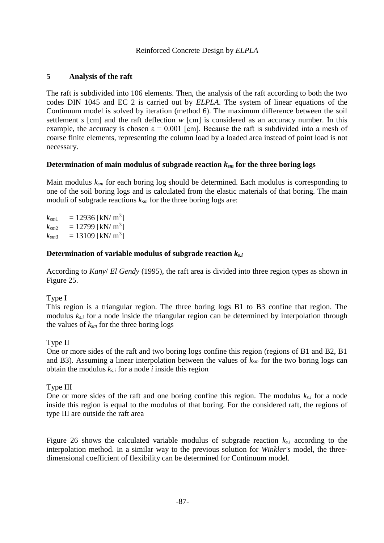## **5 Analysis of the raft**

The raft is subdivided into 106 elements. Then, the analysis of the raft according to both the two codes DIN 1045 and EC 2 is carried out by *ELPLA*. The system of linear equations of the Continuum model is solved by iteration (method 6). The maximum difference between the soil settlement *s* [cm] and the raft deflection *w* [cm] is considered as an accuracy number. In this example, the accuracy is chosen  $\varepsilon = 0.001$  [cm]. Because the raft is subdivided into a mesh of coarse finite elements, representing the column load by a loaded area instead of point load is not necessary.

## **Determination of main modulus of subgrade reaction** *ksm* **for the three boring logs**

Main modulus *ksm* for each boring log should be determined. Each modulus is corresponding to one of the soil boring logs and is calculated from the elastic materials of that boring. The main moduli of subgrade reactions *ksm* for the three boring logs are:

 $k_{sm1}$  = 12936 [kN/ m<sup>3</sup>]  $k_{\text{sm2}} = 12799 \text{ [kN/m}^3\text{]}$  $k_{\text{sm3}} = 13109 \text{ [kN/m}^3\text{]}$ 

## **Determination of variable modulus of subgrade reaction** *ks.i*

According to *Kany*/ *El Gendy* (1995), the raft area is divided into three region types as shown in [Figure 25.](#page-5-0)

## Type I

This region is a triangular region. The three boring logs B1 to B3 confine that region. The modulus *ks.i* for a node inside the triangular region can be determined by interpolation through the values of *ksm* for the three boring logs

## Type II

One or more sides of the raft and two boring logs confine this region (regions of B1 and B2, B1 and B3). Assuming a linear interpolation between the values of *ksm* for the two boring logs can obtain the modulus *ks.i* for a node *i* inside this region

## Type III

One or more sides of the raft and one boring confine this region. The modulus *ks.i* for a node inside this region is equal to the modulus of that boring. For the considered raft, the regions of type III are outside the raft area

[Figure 26](#page-5-1) shows the calculated variable modulus of subgrade reaction *ks.i* according to the interpolation method. In a similar way to the previous solution for *Winkler's* model, the threedimensional coefficient of flexibility can be determined for Continuum model.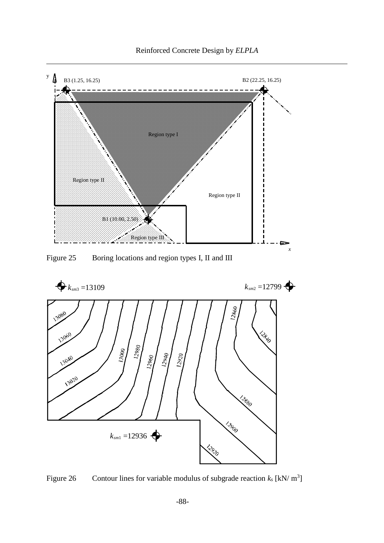

Reinforced Concrete Design by *ELPLA*

<span id="page-5-0"></span>Figure 25 Boring locations and region types I, II and III



<span id="page-5-1"></span>Figure 26 Contour lines for variable modulus of subgrade reaction  $k_s$  [kN/ m<sup>3</sup>]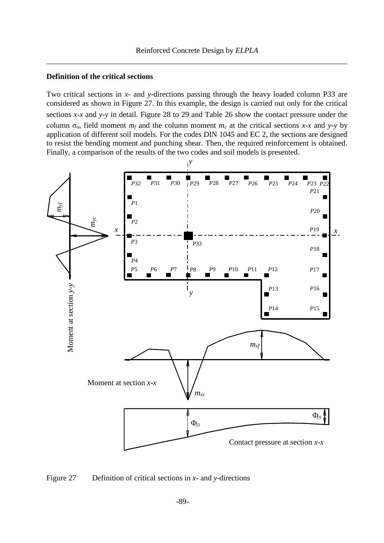#### **Definition of the critical sections**

Two critical sections in *x*- and *y*-directions passing through the heavy loaded column P33 are considered as shown in [Figure 27.](#page-6-0) In this example, the design is carried out only for the critical sections *x-x* and *y-y* in detail. [Figure 28](#page-8-0) to 29 and [Table 26](#page-7-0) show the contact pressure under the column  $\sigma_0$ , field moment  $m_f$  and the column moment  $m_c$  at the critical sections *x-x* and *y-y* by application of different soil models. For the codes DIN 1045 and EC 2, the sections are designed to resist the bending moment and punching shear. Then, the required reinforcement is obtained. Finally, a comparison of the results of the two codes and soil models is presented.



<span id="page-6-0"></span>Figure 27 Definition of critical sections in *x*- and *y*-directions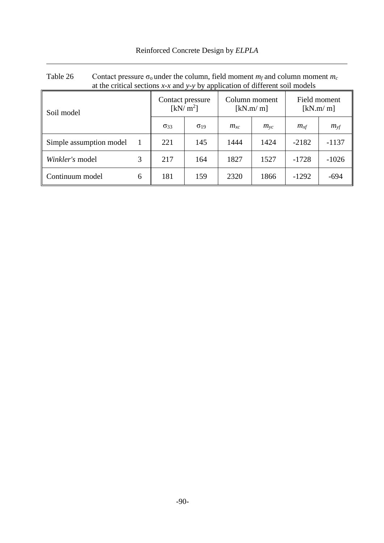<span id="page-7-0"></span>

| Table 26                | Contact pressure $\sigma_0$ under the column, field moment $m_f$ and column moment $m_c$ |                                          |                        |                           |              |                          |              |         |
|-------------------------|------------------------------------------------------------------------------------------|------------------------------------------|------------------------|---------------------------|--------------|--------------------------|--------------|---------|
|                         | at the critical sections $x$ -x and $y$ -y by application of different soil models       |                                          |                        |                           |              |                          |              |         |
| Soil model              |                                                                                          | Contact pressure<br>[kN/m <sup>2</sup> ] |                        | Column moment<br>[kN.m/m] |              | Field moment<br>[kN.m/m] |              |         |
|                         |                                                                                          | $\sigma_{33}$                            | $\sigma$ <sub>19</sub> | $m_{xc}$                  | $m_{\rm vc}$ | $m_{xf}$                 | $m_{\rm vf}$ |         |
| Simple assumption model |                                                                                          | $\overline{1}$                           | 221                    | 145                       | 1444         | 1424                     | $-2182$      | $-1137$ |
| Winkler's model         |                                                                                          | 3                                        | 217                    | 164                       | 1827         | 1527                     | $-1728$      | $-1026$ |
| Continuum model         |                                                                                          | 6                                        | 181                    | 159                       | 2320         | 1866                     | $-1292$      | $-694$  |

## Reinforced Concrete Design by *ELPLA*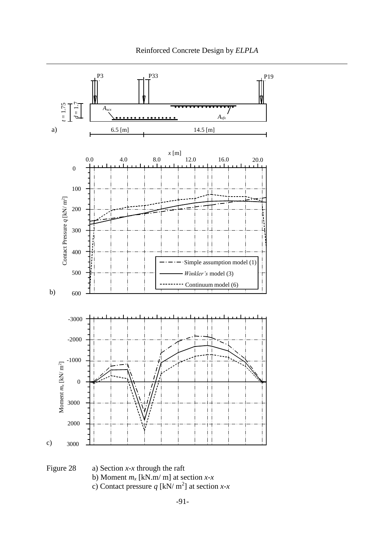

<span id="page-8-0"></span>

c) Contact pressure  $q$  [kN/ m<sup>2</sup>] at section *x*-*x*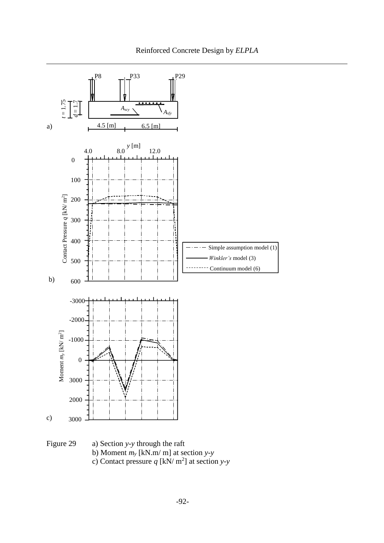

Figure 29 a) Section *y-y* through the raft b) Moment *m<sup>y</sup>* [kN.m/ m] at section *y-y* c) Contact pressure  $q$  [kN/ m<sup>2</sup>] at section *y*-*y*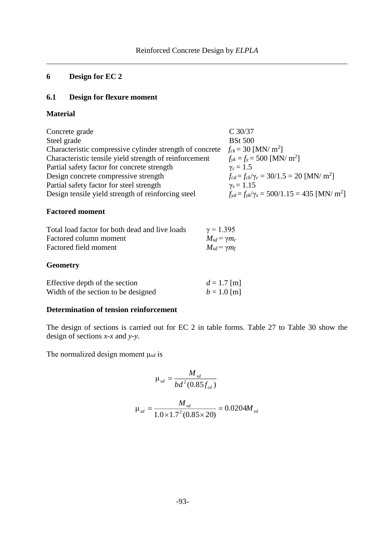## **6 Design for EC 2**

## **6.1 Design for flexure moment**

## **Material**

| Concrete grade                                           | $C$ 30/37                                                         |
|----------------------------------------------------------|-------------------------------------------------------------------|
| Steel grade                                              | <b>BSt 500</b>                                                    |
| Characteristic compressive cylinder strength of concrete | $f_{ck} = 30$ [MN/ m <sup>2</sup> ]                               |
| Characteristic tensile yield strength of reinforcement   | $f_{\rm vk} = f_{\rm v} = 500$ [MN/ m <sup>2</sup> ]              |
| Partial safety factor for concrete strength              | $\gamma_c = 1.5$                                                  |
| Design concrete compressive strength                     | $f_{cd} = f_{ck}/\gamma_c = 30/1.5 = 20$ [MN/ m <sup>2</sup> ]    |
| Partial safety factor for steel strength                 | $\gamma_s = 1.15$                                                 |
| Design tensile yield strength of reinforcing steel       | $f_{vd} = f_{vk}/\gamma_s = 500/1.15 = 435$ [MN/ m <sup>2</sup> ] |

## **Factored moment**

| Total load factor for both dead and live loads | $\gamma = 1.395$        |
|------------------------------------------------|-------------------------|
| Factored column moment                         | $M_{sd} = \gamma m_c$   |
| Factored field moment                          | $M_{sd}$ = $\gamma m_f$ |
|                                                |                         |

## **Geometry**

| Effective depth of the section      | $d = 1.7$ [m] |
|-------------------------------------|---------------|
| Width of the section to be designed | $b = 1.0$ [m] |

## **Determination of tension reinforcement**

The design of sections is carried out for EC 2 in table forms. [Table 27](#page-11-0) to [Table 30](#page-12-0) show the design of sections *x-x* and *y-y*.

The normalized design moment μ*sd* is

$$
\mu_{sd} = \frac{M_{sd}}{bd^2 (0.85 f_{cd})}
$$

$$
\mu_{sd} = \frac{M_{sd}}{1.0 \times 1.7^2 (0.85 \times 20)} = 0.0204 M_{sd}
$$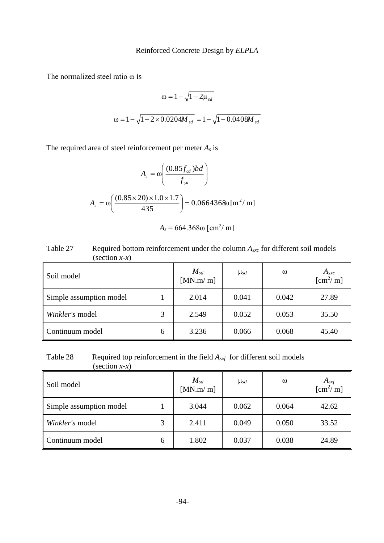The normalized steel ratio ω is

$$
\omega = 1 - \sqrt{1 - 2\mu_{sd}}
$$

$$
\omega = 1 - \sqrt{1 - 2 \times 0.0204 M_{sd}} = 1 - \sqrt{1 - 0.0408 M_{sd}}
$$

The required area of steel reinforcement per meter *A<sup>s</sup>* is

$$
A_s = \omega \left( \frac{(0.85 f_{cd})bd}{f_{yd}} \right)
$$

$$
A_s = \omega \left( \frac{(0.85 \times 20) \times 1.0 \times 1.7}{435} \right) = 0.0664368 \omega \left[ m^2 / m \right]
$$

$$
A_s = 664.368\,\mathrm{m} \, \mathrm{cm}^2/\,\mathrm{m}
$$

<span id="page-11-0"></span>

| Table 27 | Required bottom reinforcement under the column $A_{src}$ for different soil models |
|----------|------------------------------------------------------------------------------------|
|          | (section $x-x$ )                                                                   |

| Soil model              |   | $M_{sd}$<br>[MN.m/m] | $\mu_{sd}$ | $\omega$ | $A_{sxc}$<br>[cm <sup>2</sup> / m] |
|-------------------------|---|----------------------|------------|----------|------------------------------------|
| Simple assumption model |   | 2.014                | 0.041      | 0.042    | 27.89                              |
| Winkler's model         |   | 2.549                | 0.052      | 0.053    | 35.50                              |
| Continuum model         | 6 | 3.236                | 0.066      | 0.068    | 45.40                              |

Table 28 Required top reinforcement in the field  $A_{sxf}$  for different soil models (section *x-x*)

| $\text{S}\text{C}\text{C}\text{C}\text{C}\text{C}\text{C}\text{C}$ |   |                      |            |          |                                   |
|--------------------------------------------------------------------|---|----------------------|------------|----------|-----------------------------------|
| Soil model                                                         |   | $M_{sd}$<br>[MN.m/m] | $\mu_{sd}$ | $\omega$ | $A_{sxf}$<br>[cm <sup>2</sup> /m] |
| Simple assumption model                                            |   | 3.044                | 0.062      | 0.064    | 42.62                             |
| Winkler's model                                                    |   | 2.411                | 0.049      | 0.050    | 33.52                             |
| Continuum model                                                    | 6 | 1.802                | 0.037      | 0.038    | 24.89                             |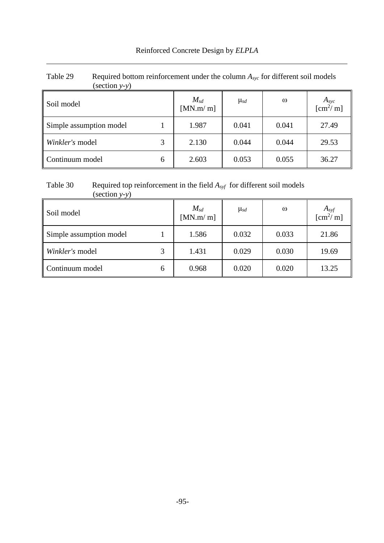| $\left( \text{section } y \text{-} y \right)$ |   |                      |            |          |                                           |
|-----------------------------------------------|---|----------------------|------------|----------|-------------------------------------------|
| Soil model                                    |   | $M_{sd}$<br>[MN.m/m] | $\mu_{sd}$ | $\omega$ | $A_{\text{syc}}$<br>[cm <sup>2</sup> / m] |
| Simple assumption model                       |   | 1.987                | 0.041      | 0.041    | 27.49                                     |
| Winkler's model                               | 3 | 2.130                | 0.044      | 0.044    | 29.53                                     |
| Continuum model                               | 6 | 2.603                | 0.053      | 0.055    | 36.27                                     |

# Table 29 Required bottom reinforcement under the column  $A_{*yc*}$  for different soil models

## <span id="page-12-0"></span>Table 30 Required top reinforcement in the field *Asyf* for different soil models

| $\text{(section } y-y\text{)}$ |   |                      |            |          |                                    |
|--------------------------------|---|----------------------|------------|----------|------------------------------------|
| Soil model                     |   | $M_{sd}$<br>[MN.m/m] | $\mu_{sd}$ | $\omega$ | $A_{syf}$<br>[cm <sup>2</sup> / m] |
| Simple assumption model        |   | 1.586                | 0.032      | 0.033    | 21.86                              |
| Winkler's model                | 3 | 1.431                | 0.029      | 0.030    | 19.69                              |
| Continuum model                | 6 | 0.968                | 0.020      | 0.020    | 13.25                              |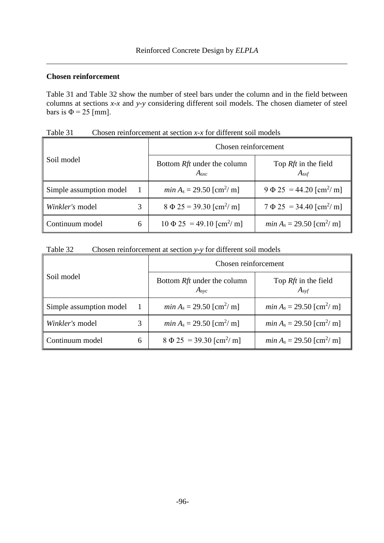## **Chosen reinforcement**

[Table 31](#page-13-0) and [Table 32](#page-13-1) show the number of steel bars under the column and in the field between columns at sections *x-x* and *y-y* considering different soil models. The chosen diameter of steel bars is  $\Phi = 25$  [mm].

| Soil model              |   | Chosen reinforcement                           |                                                |  |  |
|-------------------------|---|------------------------------------------------|------------------------------------------------|--|--|
|                         |   | Bottom Rft under the column<br>$A_{src}$       | Top <i>Rft</i> in the field<br>$A_{sxf}$       |  |  |
| Simple assumption model |   | <i>min</i> $A_s = 29.50$ [cm <sup>2</sup> / m] | $9 \Phi 25 = 44.20$ [cm <sup>2</sup> / m]      |  |  |
| Winkler's model         | 3 | $8 \Phi 25 = 39.30$ [cm <sup>2</sup> /m]       | $7 \Phi 25 = 34.40$ [cm <sup>2</sup> / m]      |  |  |
| Continuum model         | 6 | $10 \Phi 25 = 49.10$ [cm <sup>2</sup> / m]     | <i>min</i> $A_s = 29.50$ [cm <sup>2</sup> / m] |  |  |

<span id="page-13-0"></span>Table 31 Chosen reinforcement at section *x-x* for different soil models

<span id="page-13-1"></span>

| Table 32 | Chosen reinforcement at section $y$ - $y$ for different soil models |  |
|----------|---------------------------------------------------------------------|--|
|          |                                                                     |  |

| Soil model              |   | Chosen reinforcement                                 |                                                |  |  |
|-------------------------|---|------------------------------------------------------|------------------------------------------------|--|--|
|                         |   | Bottom <i>Rft</i> under the column<br>$A_{\rm{svc}}$ | Top <i>Rft</i> in the field<br>$A_{svf}$       |  |  |
| Simple assumption model |   | <i>min</i> $A_s = 29.50$ [cm <sup>2</sup> / m]       | <i>min</i> $A_s = 29.50$ [cm <sup>2</sup> / m] |  |  |
| Winkler's model         | 3 | <i>min</i> $A_s = 29.50$ [cm <sup>2</sup> / m]       | <i>min</i> $A_s = 29.50$ [cm <sup>2</sup> / m] |  |  |
| Continuum model         | 6 | $8 \Phi 25 = 39.30$ [cm <sup>2</sup> / m]            | <i>min</i> $A_s = 29.50$ [cm <sup>2</sup> / m] |  |  |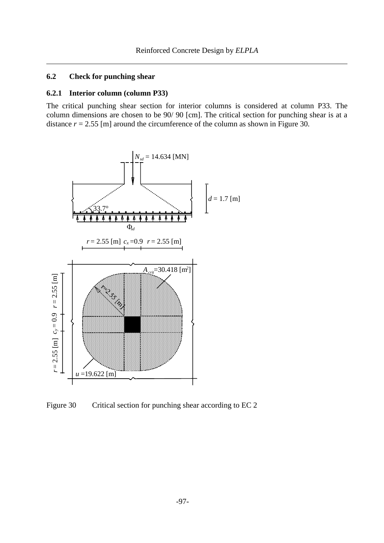## **6.2 Check for punching shear**

#### **6.2.1 Interior column (column P33)**

The critical punching shear section for interior columns is considered at column P33. The column dimensions are chosen to be 90/ 90 [cm]. The critical section for punching shear is at a distance  $r = 2.55$  [m] around the circumference of the column as shown in [Figure 30.](#page-14-0)



<span id="page-14-0"></span>Figure 30 Critical section for punching shear according to EC 2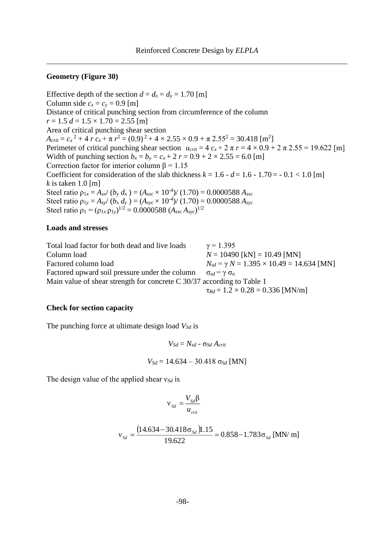#### **Geometry [\(Figure 30\)](#page-14-0)**

Effective depth of the section  $d = d_x = d_y = 1.70$  [m] Column side  $c_x = c_y = 0.9$  [m] Distance of critical punching section from circumference of the column  $r = 1.5 d = 1.5 \times 1.70 = 2.55$  [m] Area of critical punching shear section  $A_{crit} = c_x^2 + 4 r c_x + \pi r^2 = (0.9)^2 + 4 \times 2.55 \times 0.9 + \pi 2.55^2 = 30.418$  [m<sup>2</sup>] Perimeter of critical punching shear section  $u_{crit} = 4 c_x + 2 \pi r = 4 \times 0.9 + 2 \pi 2.55 = 19.622$  [m] Width of punching section  $b_x = b_y = c_x + 2 r = 0.9 + 2 \times 2.55 = 6.0$  [m] Correction factor for interior column  $\beta = 1.15$ Coefficient for consideration of the slab thickness  $k = 1.6 - d = 1.6 - 1.70 = -0.1 < 1.0$  [m] *k* is taken 1.0 [m] Steel ratio  $\rho_{1x} = A_{sx}/(b_y \, d_x) = (A_{sxc} \times 10^{-4})/(1.70) = 0.0000588 \, A_{sxc}$ Steel ratio  $\rho_{1y} = A_{sy}/(b_x \, d_y) = (A_{syc} \times 10^{-4})/(1.70) = 0.0000588 \, A_{syc}$ Steel ratio  $\rho_1 = (\rho_{1x} \rho_{1y})^{1/2} = 0.0000588 (A_{\text{src}} A_{\text{sys}})^{1/2}$ 

#### **Loads and stresses**

Total load factor for both dead and live loads  $\gamma = 1.395$ Column load *N* = 10490 [kN] = 10.49 [MN] Factored column load  $N_{sd} = \gamma N = 1.395 \times 10.49 = 14.634$  [MN] Factored upward soil pressure under the column  $\sigma_{sd} = \gamma \sigma_0$ Main value of shear strength for concrete C 30/37 according to Table 1  $\tau_{Rd} = 1.2 \times 0.28 = 0.336$  [MN/m]

#### **Check for section capacity**

The punching force at ultimate design load *VSd* is

 $V_{Sd} = N_{sd} - σ_{Sd} A_{crit}$ *V<sub>Sd</sub>* = 14.634 – 30.418 σ<sub>*Sd*</sub> [MN]</sub>

The design value of the applied shear ν*Sd* is

$$
v_{Sd} = \frac{V_{Sd} \beta}{u_{crit}}
$$

$$
v_{Sd} = \frac{(14.634 - 30.418\sigma_{Sd})1.15}{19.622} = 0.858 - 1.783\sigma_{Sd}
$$
 [MN/m]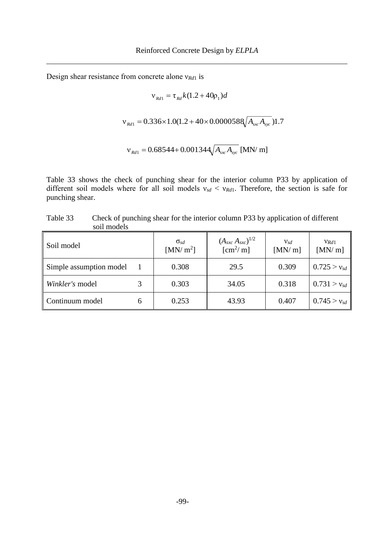Design shear resistance from concrete alone ν*Rd*<sup>1</sup> is

$$
v_{Rd1} = \tau_{Rd} k (1.2 + 40p_1) d
$$
  

$$
v_{Rd1} = 0.336 \times 1.0(1.2 + 40 \times 0.0000588 \sqrt{A_{xx} A_{sys}}) 1.7
$$
  

$$
v_{Rd1} = 0.68544 + 0.001344 \sqrt{A_{xx} A_{sys}} [MN/m]
$$

[Table 33](#page-16-0) shows the check of punching shear for the interior column P33 by application of different soil models where for all soil models  $v_{sd} < v_{Rd1}$ . Therefore, the section is safe for punching shear.

<span id="page-16-0"></span>Table 33 Check of punching shear for the interior column P33 by application of different soil models

| Soil model              | $\sigma_{sd}$<br>[MN/m <sup>2</sup> ] | $(A_{\rm{src}} A_{\rm{src}})^{1/2}$<br>$\mathrm{[cm^2/m]}$ | $v_{sd}$<br>[MN/m] | $v_{Rd1}$<br>[MN/m] |
|-------------------------|---------------------------------------|------------------------------------------------------------|--------------------|---------------------|
| Simple assumption model | 0.308                                 | 29.5                                                       | 0.309              | $0.725 > v_{sd}$    |
| Winkler's model         | 0.303                                 | 34.05                                                      | 0.318              | $0.731 > v_{sd}$    |
| Continuum model         | 0.253                                 | 43.93                                                      | 0.407              | $0.745 > v_{sd}$    |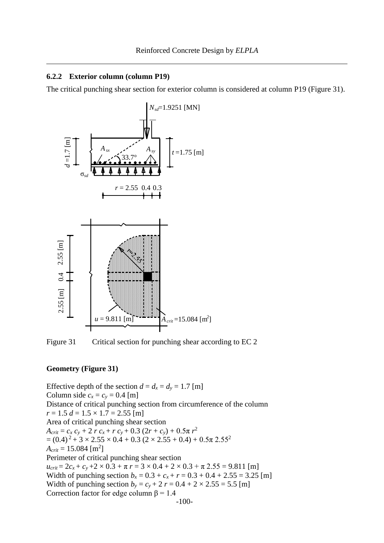#### **6.2.2 Exterior column (column P19)**

The critical punching shear section for exterior column is considered at column P19 [\(Figure 31\)](#page-17-0).



<span id="page-17-0"></span>Figure 31 Critical section for punching shear according to EC 2

#### **Geometry [\(Figure 31\)](#page-17-0)**

Effective depth of the section  $d = d_x = d_y = 1.7$  [m] Column side  $c_x = c_y = 0.4$  [m] Distance of critical punching section from circumference of the column  $r = 1.5 d = 1.5 \times 1.7 = 2.55$  [m] Area of critical punching shear section  $A_{crit} = c_x c_y + 2 r c_x + r c_y + 0.3 (2r + c_y) + 0.5\pi r^2$  $=(0.4)^2 + 3 \times 2.55 \times 0.4 + 0.3 (2 \times 2.55 + 0.4) + 0.5\pi 2.55^2$  $A_{crit} = 15.084 \,[\mathrm{m}^2]$ Perimeter of critical punching shear section  $u_{crit} = 2c_x + c_y + 2 \times 0.3 + \pi r = 3 \times 0.4 + 2 \times 0.3 + \pi 2.55 = 9.811$  [m] Width of punching section  $b_x = 0.3 + c_x + r = 0.3 + 0.4 + 2.55 = 3.25$  [m] Width of punching section  $b_y = c_y + 2r = 0.4 + 2 \times 2.55 = 5.5$  [m] Correction factor for edge column  $\beta = 1.4$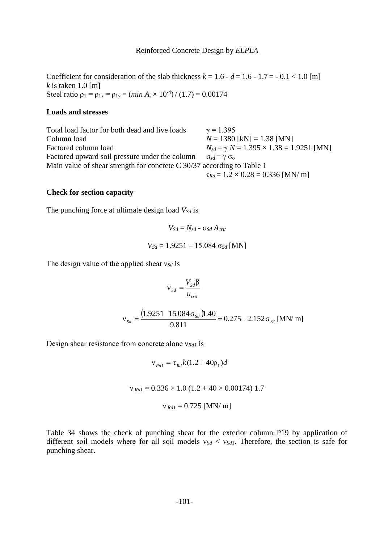Coefficient for consideration of the slab thickness  $k = 1.6 - d = 1.6 - 1.7 = -0.1 < 1.0$  [m] *k* is taken 1.0 [m] Steel ratio  $\rho_1 = \rho_{1x} = \rho_{1y} = (min A_s \times 10^{-4}) / (1.7) = 0.00174$ 

#### **Loads and stresses**

Total load factor for both dead and live loads  $\gamma = 1.395$ Column load *N* = 1380 [kN] = 1.38 [MN] Factored column load  $N_{sd} = \gamma N = 1.395 \times 1.38 = 1.9251$  [MN] Factored upward soil pressure under the column  $\sigma_{sd} = \gamma \sigma_0$ Main value of shear strength for concrete C 30/37 according to Table 1  $\tau_{Rd} = 1.2 \times 0.28 = 0.336$  [MN/ m]

#### **Check for section capacity**

The punching force at ultimate design load *VSd* is

$$
V_{Sd} = N_{sd} - \sigma_{Sd} A_{crit}
$$

$$
V_{Sd} = 1.9251 - 15.084 \sigma_{Sd} \text{ [MN]}
$$

The design value of the applied shear ν*Sd* is

$$
v_{Sd} = \frac{V_{Sd}\beta}{u_{crit}}
$$

$$
v_{Sd} = \frac{(1.9251 - 15.084 \sigma_{Sd})1.40}{9.811} = 0.275 - 2.152 \sigma_{Sd} \text{ [MN/m]}
$$

Design shear resistance from concrete alone ν*Rd*<sup>1</sup> is

 $v_{Rd1} = \tau_{Rd} k(1.2 + 40 \rho_1) d$ 

 $v_{Rd1} = 0.336 \times 1.0 (1.2 + 40 \times 0.00174) 1.7$ 

$$
v_{Rd1} = 0.725
$$
 [MN/m]

[Table 34](#page-19-0) shows the check of punching shear for the exterior column P19 by application of different soil models where for all soil models  $v_{Sd} < v_{Sd1}$ . Therefore, the section is safe for punching shear.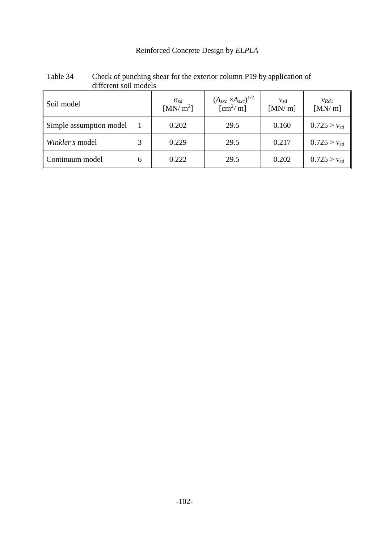| Reinforced Concrete Design by ELPLA |  |  |
|-------------------------------------|--|--|
|                                     |  |  |

| different soil models   |   |                                       |                                                         |                           |                     |
|-------------------------|---|---------------------------------------|---------------------------------------------------------|---------------------------|---------------------|
| Soil model              |   | $\sigma_{sd}$<br>[MN/m <sup>2</sup> ] | $(A_{sxc} \times A_{sxc})^{1/2}$<br>$\mathrm{[cm^2/m]}$ | $\mathbf{V}$ sd<br>[MN/m] | $V_{Rd1}$<br>[MN/m] |
| Simple assumption model |   | 0.202                                 | 29.5                                                    | 0.160                     | $0.725 > v_{sd}$    |
| Winkler's model         |   | 0.229                                 | 29.5                                                    | 0.217                     | $0.725 > v_{sd}$    |
| Continuum model         | 6 | 0.222                                 | 29.5                                                    | 0.202                     | $0.725 > v_{sd}$    |

# <span id="page-19-0"></span>Table 34 Check of punching shear for the exterior column P19 by application of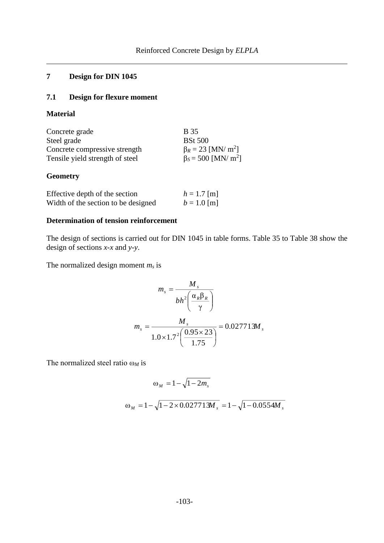## **7 Design for DIN 1045**

## **7.1 Design for flexure moment**

## **Material**

| Concrete grade                  | <b>B</b> 35                           |
|---------------------------------|---------------------------------------|
| Steel grade                     | <b>BSt 500</b>                        |
| Concrete compressive strength   | $\beta_R = 23$ [MN/ m <sup>2</sup> ]  |
| Tensile yield strength of steel | $\beta_s = 500$ [MN/ m <sup>2</sup> ] |

## **Geometry**

| Effective depth of the section      | $h = 1.7$ [m] |
|-------------------------------------|---------------|
| Width of the section to be designed | $b = 1.0$ [m] |

### **Determination of tension reinforcement**

The design of sections is carried out for DIN 1045 in table forms. [Table 35](#page-21-0) to [Table 38](#page-22-0) show the design of sections *x*-*x* and *y*-*y*.

The normalized design moment *m<sup>s</sup>* is

$$
m_s = \frac{M_s}{bh^2 \left(\frac{\alpha_R \beta_R}{\gamma}\right)}
$$

$$
m_s = \frac{M_s}{1.0 \times 1.7^2 \left(\frac{0.95 \times 23}{1.75}\right)} = 0.027713M_s
$$

The normalized steel ratio ω*<sup>M</sup>* is

$$
\omega_M = 1 - \sqrt{1 - 2m_s}
$$

$$
\omega_M = 1 - \sqrt{1 - 2 \times 0.027713 M_s} = 1 - \sqrt{1 - 0.0554 M_s}
$$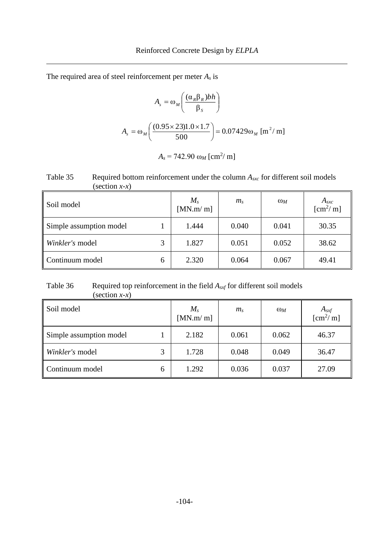The required area of steel reinforcement per meter *A<sup>s</sup>* is

$$
A_s = \omega_M \left( \frac{(\alpha_R \beta_R) bh}{\beta_s} \right)
$$
  

$$
A_s = \omega_M \left( \frac{(0.95 \times 23) 1.0 \times 1.7}{500} \right) = 0.07429 \omega_M \text{ [m}^2/\text{m]}
$$

| $A_s = 742.90 \omega_M [\text{cm}^2/\text{m}]$ |  |
|------------------------------------------------|--|
|------------------------------------------------|--|

<span id="page-21-0"></span>Table 35 Required bottom reinforcement under the column  $A_{\text{src}}$  for different soil models (section *x*-*x*)

| Soil model              |   | $M_{s}$<br>[MN.m/m] | $m_{\rm s}$ | $\omega_M$ | $A_{sxc}$<br>$\mathrm{[cm^2/m]}$ |
|-------------------------|---|---------------------|-------------|------------|----------------------------------|
| Simple assumption model |   | 1.444               | 0.040       | 0.041      | 30.35                            |
| Winkler's model         | 3 | 1.827               | 0.051       | 0.052      | 38.62                            |
| Continuum model         | 6 | 2.320               | 0.064       | 0.067      | 49.41                            |

Table 36 Required top reinforcement in the field  $A_{sxf}$  for different soil models  $\text{(section } x-x)$ 

| Soil model              |   | $M_{s}$<br>[MN.m/m] | m <sub>s</sub> | $\omega_M$ | $A_{sxf}$ [cm <sup>2</sup> /m] |
|-------------------------|---|---------------------|----------------|------------|--------------------------------|
| Simple assumption model |   | 2.182               | 0.061          | 0.062      | 46.37                          |
| Winkler's model         |   | 1.728               | 0.048          | 0.049      | 36.47                          |
| Continuum model         | 6 | 1.292               | 0.036          | 0.037      | 27.09                          |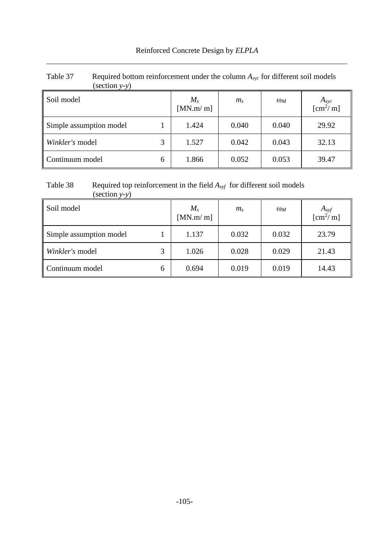| $\left( \text{section } y \text{-} y \right)$ |   |                     |                |            |                                           |
|-----------------------------------------------|---|---------------------|----------------|------------|-------------------------------------------|
| Soil model                                    |   | $M_{s}$<br>[MN.m/m] | m <sub>s</sub> | $\omega_M$ | $A_{\text{syc}}$<br>[cm <sup>2</sup> / m] |
| Simple assumption model                       |   | 1.424               | 0.040          | 0.040      | 29.92                                     |
| Winkler's model                               | 3 | 1.527               | 0.042          | 0.043      | 32.13                                     |
| Continuum model                               | 6 | 1.866               | 0.052          | 0.053      | 39.47                                     |

# Table 37 Required bottom reinforcement under the column  $A_{*yc*}$  for different soil models

#### <span id="page-22-0"></span>Table 38 Required top reinforcement in the field *Asyf* for different soil models (section *y-y*)

| Soil model              |   | $M_{s}$<br>[MN.m/m] | $m_{\rm s}$ | $\omega_M$ | $A_{syf}$ [cm <sup>2</sup> /m] |
|-------------------------|---|---------------------|-------------|------------|--------------------------------|
| Simple assumption model |   | 1.137               | 0.032       | 0.032      | 23.79                          |
| Winkler's model         |   | 1.026               | 0.028       | 0.029      | 21.43                          |
| Continuum model         | 6 | 0.694               | 0.019       | 0.019      | 14.43                          |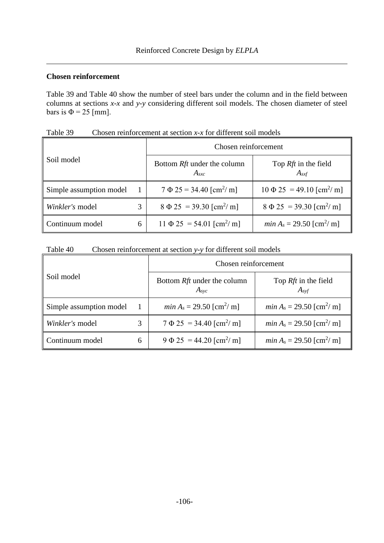## **Chosen reinforcement**

[Table 39](#page-23-0) and [Table 40](#page-23-1) show the number of steel bars under the column and in the field between columns at sections *x-x* and *y-y* considering different soil models. The chosen diameter of steel bars is  $\Phi = 25$  [mm].

| Soil model              |   | Chosen reinforcement                            |                                                |  |  |
|-------------------------|---|-------------------------------------------------|------------------------------------------------|--|--|
|                         |   | Bottom <i>Rft</i> under the column<br>$A_{sxc}$ | Top <i>Rft</i> in the field<br>$A_{sxf}$       |  |  |
| Simple assumption model |   | $7 \Phi 25 = 34.40$ [cm <sup>2</sup> / m]       | $10 \Phi 25 = 49.10$ [cm <sup>2</sup> / m]     |  |  |
| Winkler's model         | 3 | $8 \Phi 25 = 39.30$ [cm <sup>2</sup> / m]       | $8 \Phi 25 = 39.30$ [cm <sup>2</sup> / m]      |  |  |
| Continuum model         | 6 | $11 \Phi 25 = 54.01$ [cm <sup>2</sup> /m]       | <i>min</i> $A_s = 29.50$ [cm <sup>2</sup> / m] |  |  |

<span id="page-23-0"></span>Table 39 Chosen reinforcement at section *x-x* for different soil models

<span id="page-23-1"></span>

| Table 40 | Chosen reinforcement at section y-y for different soil models |  |
|----------|---------------------------------------------------------------|--|
|          |                                                               |  |

| Soil model              |   | Chosen reinforcement                                 |                                                |  |  |
|-------------------------|---|------------------------------------------------------|------------------------------------------------|--|--|
|                         |   | Bottom <i>Rft</i> under the column<br>$A_{\rm{svc}}$ | Top <i>Rft</i> in the field<br>$A_{svf}$       |  |  |
| Simple assumption model |   | <i>min</i> $A_s = 29.50$ [cm <sup>2</sup> / m]       | <i>min</i> $A_s = 29.50$ [cm <sup>2</sup> / m] |  |  |
| Winkler's model         |   | $7 \Phi 25 = 34.40$ [cm <sup>2</sup> / m]            | <i>min</i> $A_s = 29.50$ [cm <sup>2</sup> / m] |  |  |
| Continuum model         | 6 | $9 \Phi 25 = 44.20$ [cm <sup>2</sup> / m]            | <i>min</i> $A_s = 29.50$ [cm <sup>2</sup> / m] |  |  |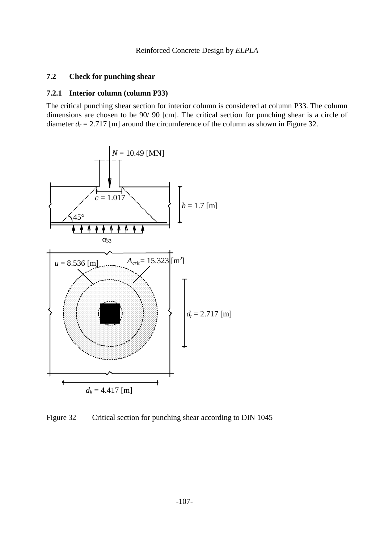## **7.2 Check for punching shear**

#### **7.2.1 Interior column (column P33)**

The critical punching shear section for interior column is considered at column P33. The column dimensions are chosen to be 90/ 90 [cm]. The critical section for punching shear is a circle of diameter  $d_r = 2.717$  [m] around the circumference of the column as shown in [Figure 32.](#page-24-0)



<span id="page-24-0"></span>Figure 32 Critical section for punching shear according to DIN 1045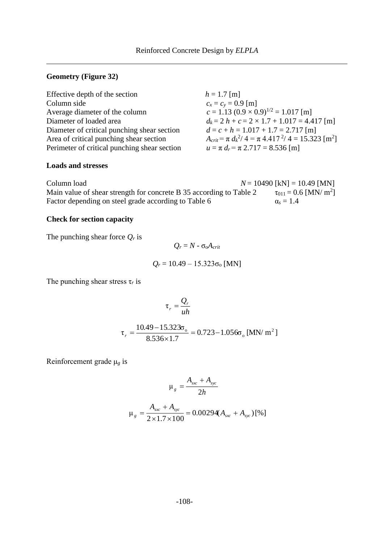## **Geometry [\(Figure 32\)](#page-24-0)**

| Effective depth of the section               | $h = 1.7$ [m]                                                           |
|----------------------------------------------|-------------------------------------------------------------------------|
| Column side                                  | $c_x = c_y = 0.9$ [m]                                                   |
| Average diameter of the column               | $c = 1.13 (0.9 \times 0.9)^{1/2} = 1.017$ [m]                           |
| Diameter of loaded area                      | $d_k = 2 h + c = 2 \times 1.7 + 1.017 = 4.417$ [m]                      |
| Diameter of critical punching shear section  | $d = c + h = 1.017 + 1.7 = 2.717$ [m]                                   |
| Area of critical punching shear section      | $A_{crit} = \pi d_k^2 / 4 = \pi 4.417^2 / 4 = 15.323$ [m <sup>2</sup> ] |
| Perimeter of critical punching shear section | $u = \pi d_r = \pi 2.717 = 8.536$ [m]                                   |

#### **Loads and stresses**

| Column load                                                         | $N = 10490$ [kN] = 10.49 [MN]            |
|---------------------------------------------------------------------|------------------------------------------|
| Main value of shear strength for concrete B 35 according to Table 2 | $\tau_{011} = 0.6$ [MN/ m <sup>2</sup> ] |
| Factor depending on steel grade according to Table 6                | $\alpha_s = 1.4$                         |

## **Check for section capacity**

The punching shear force *Q<sup>r</sup>* is

$$
Q_r = N - \sigma_0 A_{crit}
$$
  

$$
Q_r = 10.49 - 15.323 \sigma_0 \text{ [MN]}
$$

The punching shear stress τ*<sup>r</sup>* is

$$
\tau_r = \frac{Q_r}{uh}
$$

$$
\tau_r = \frac{10.49 - 15.323\sigma_{\rm o}}{8.536 \times 1.7} = 0.723 - 1.056\sigma_{\rm o} \,[\text{MN/m}^2]
$$

Reinforcement grade μ*<sup>g</sup>* is

$$
\mu_g = \frac{A_{\rm{src}} + A_{\rm{src}}}{2h}
$$

$$
\mu_{g} = \frac{A_{\rm{xc}} + A_{\rm{cyc}}}{2 \times 1.7 \times 100} = 0.00294 (A_{\rm{xc}} + A_{\rm{cyc}}) [ \% ]
$$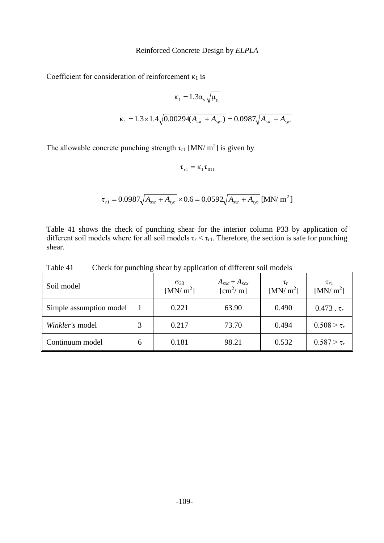Coefficient for consideration of reinforcement  $\kappa_1$  is

$$
\kappa_1 = 1.3 \alpha_s \sqrt{\mu_g}
$$
  

$$
\kappa_1 = 1.3 \times 1.4 \sqrt{0.00294(A_{sx} + A_{syc})} = 0.0987 \sqrt{A_{sx} + A_{syc}}
$$

The allowable concrete punching strength  $\tau_{r1}$  [MN/ m<sup>2</sup>] is given by

 $\tau_{r1} = \kappa_1 \tau_{011}$ 

$$
\tau_{r1} = 0.0987 \sqrt{A_{\rm xx} + A_{\rm sys}} \times 0.6 = 0.0592 \sqrt{A_{\rm xx} + A_{\rm sys}} \text{ [MN/m}^2 \text{]}
$$

[Table 41](#page-26-0) shows the check of punching shear for the interior column P33 by application of different soil models where for all soil models  $\tau_r < \tau_{r1}$ . Therefore, the section is safe for punching shear.

<span id="page-26-0"></span>Table 41 Check for punching shear by application of different soil models

| Soil model              | $\sigma$ 33<br>[MN/m <sup>2</sup> ] | $A_{sxc}+A_{scx}$<br>$\mathrm{[cm^2/m]}$ | $\tau_r$<br>[MN/m <sup>2</sup> ] | $\tau_{r1}$<br>[MN/m <sup>2</sup> ] |
|-------------------------|-------------------------------------|------------------------------------------|----------------------------------|-------------------------------------|
| Simple assumption model | 0.221                               | 63.90                                    | 0.490                            | $0.473$ . $\tau_r$                  |
| Winkler's model         | 0.217                               | 73.70                                    | 0.494                            | $0.508 > \tau_r$                    |
| Continuum model         | 0.181                               | 98.21                                    | 0.532                            | $0.587 > \tau_r$                    |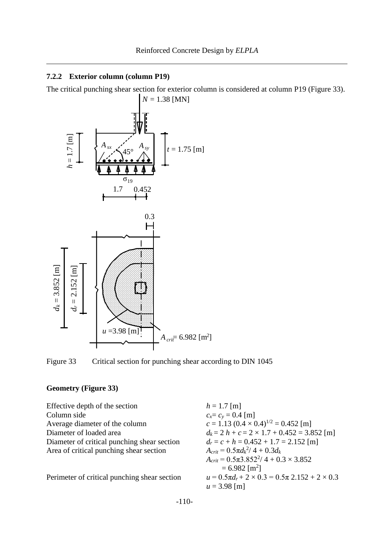#### **7.2.2 Exterior column (column P19)**

The critical punching shear section for exterior column is considered at column P19 [\(Figure 33\)](#page-27-0).  $N = 1.38$  [MN]



<span id="page-27-0"></span>Figure 33 Critical section for punching shear according to DIN 1045

## **Geometry [\(Figure 33\)](#page-27-0)**

Effective depth of the section Column side *cx*= *c<sup>y</sup>* = 0.4 [m] Average diameter of the column Diameter of loaded area Diameter of critical punching shear section  $A$ rea of critical punching shear section

Perimeter of critical punching shear section

$$
h = 1.7 \text{ [m]}
$$
  
\n
$$
c_x = c_y = 0.4 \text{ [m]}
$$
  
\n
$$
c = 1.13 (0.4 \times 0.4)^{1/2} = 0.452 \text{ [m]}
$$
  
\n
$$
d_k = 2 h + c = 2 \times 1.7 + 0.452 = 3.852 \text{ [m]}
$$
  
\n
$$
d_r = c + h = 0.452 + 1.7 = 2.152 \text{ [m]}
$$
  
\n
$$
A_{crit} = 0.5 \pi d_k^2 / 4 + 0.3 d_k
$$
  
\n
$$
A_{crit} = 0.5 \pi 3.852^2 / 4 + 0.3 \times 3.852
$$
  
\n
$$
= 6.982 \text{ [m}^2]
$$
  
\n
$$
u = 0.5 \pi d_r + 2 \times 0.3 = 0.5 \pi 2.152 + 2 \times 0.3
$$
  
\n
$$
u = 3.98 \text{ [m]}
$$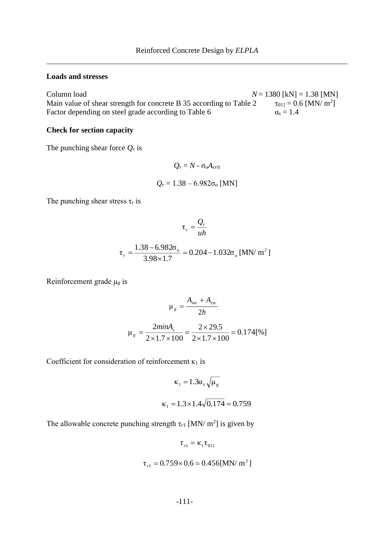#### **Loads and stresses**

Column load  $N = 1380$  [kN] = 1.38 [MN] Main value of shear strength for concrete B 35 according to Table 2  $\tau_{011} = 0.6$  [MN/ m<sup>2</sup>] Factor depending on steel grade according to Table 6  $\alpha_s = 1.4$ 

#### **Check for section capacity**

The punching shear force *Q<sup>r</sup>* is

$$
Q_r = N - \sigma_0 A_{crit}
$$
  

$$
Q_r = 1.38 - 6.982 \sigma_0 \text{ [MN]}
$$

The punching shear stress  $\tau_r$  is

$$
\tau_r = \frac{Q_r}{uh}
$$

$$
\tau_r = \frac{1.38 - 6.982\sigma_o}{3.98 \times 1.7} = 0.204 - 1.032\sigma_o \text{ [MN/m}^2\text{]}
$$

Reinforcement grade μ*<sup>g</sup>* is

$$
\mu_{g} = \frac{A_{\text{sx}} + A_{\text{syc}}}{2h}
$$

$$
\mu_{g} = \frac{2\text{min}A_{s}}{2 \times 1.7 \times 100} = \frac{2 \times 29.5}{2 \times 1.7 \times 100} = 0.174\text{ [%]}
$$

Coefficient for consideration of reinforcement  $\kappa_1$  is

$$
\kappa_1 = 1.3 \alpha_s \sqrt{\mu_g}
$$
  

$$
\kappa_1 = 1.3 \times 1.4 \sqrt{0.174} = 0.759
$$

The allowable concrete punching strength  $\tau_{r1}$  [MN/ m<sup>2</sup>] is given by

$$
\tau_{r1} = \kappa_1 \tau_{011}
$$

$$
\tau_{r1} = 0.759 \times 0.6 = 0.456
$$
[MN/m<sup>2</sup>]

$$
-111-
$$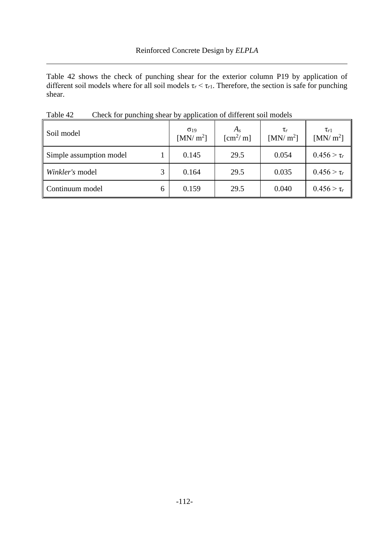[Table 42](#page-29-0) shows the check of punching shear for the exterior column P19 by application of different soil models where for all soil models  $\tau_r < \tau_{r1}$ . Therefore, the section is safe for punching shear.

| Soil model              |   | $\sigma_{19}$<br>[MN/m <sup>2</sup> ] | $A_{\rm s}$<br>$\mathrm{[cm^2/m]}$ | $\tau_r$<br>[MN/m <sup>2</sup> ] | $\tau_{r1}$<br>[MN/ $m^2$ ] |
|-------------------------|---|---------------------------------------|------------------------------------|----------------------------------|-----------------------------|
| Simple assumption model |   | 0.145                                 | 29.5                               | 0.054                            | $0.456 > \tau_r$            |
| Winkler's model         |   | 0.164                                 | 29.5                               | 0.035                            | $0.456 > \tau_r$            |
| Continuum model         | 6 | 0.159                                 | 29.5                               | 0.040                            | $0.456 > \tau_r$            |

<span id="page-29-0"></span>Table 42 Check for punching shear by application of different soil models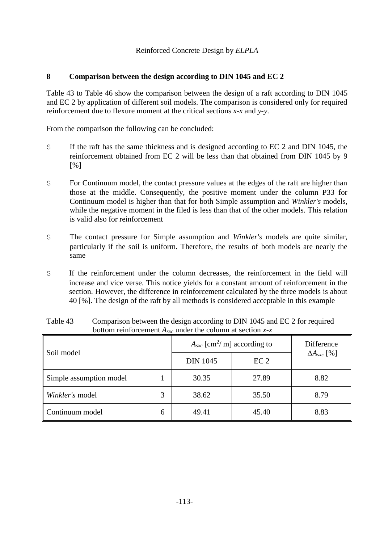## **8 Comparison between the design according to DIN 1045 and EC 2**

[Table 43](#page-30-0) to [Table 46](#page-31-0) show the comparison between the design of a raft according to DIN 1045 and EC 2 by application of different soil models. The comparison is considered only for required reinforcement due to flexure moment at the critical sections *x-x* and *y-y*.

From the comparison the following can be concluded:

- S If the raft has the same thickness and is designed according to EC 2 and DIN 1045, the reinforcement obtained from EC 2 will be less than that obtained from DIN 1045 by 9 [%]
- S For Continuum model, the contact pressure values at the edges of the raft are higher than those at the middle. Consequently, the positive moment under the column P33 for Continuum model is higher than that for both Simple assumption and *Winkler's* models, while the negative moment in the filed is less than that of the other models. This relation is valid also for reinforcement
- S The contact pressure for Simple assumption and *Winkler's* models are quite similar, particularly if the soil is uniform. Therefore, the results of both models are nearly the same
- S If the reinforcement under the column decreases, the reinforcement in the field will increase and vice verse. This notice yields for a constant amount of reinforcement in the section. However, the difference in reinforcement calculated by the three models is about 40 [%]. The design of the raft by all methods is considered acceptable in this example

| Soil model              |   | $A_{\rm src}$ [cm <sup>2</sup> /m] according to |                 | Difference                 |
|-------------------------|---|-------------------------------------------------|-----------------|----------------------------|
|                         |   | <b>DIN 1045</b>                                 | EC <sub>2</sub> | $\Delta A_{\rm{ }sxc}$ [%] |
| Simple assumption model |   | 30.35                                           | 27.89           | 8.82                       |
| Winkler's model         |   | 38.62                                           | 35.50           | 8.79                       |
| Continuum model         | 6 | 49.41                                           | 45.40           | 8.83                       |

<span id="page-30-0"></span>Table 43 Comparison between the design according to DIN 1045 and EC 2 for required bottom reinforcement *Asxc* under the column at section *x-x*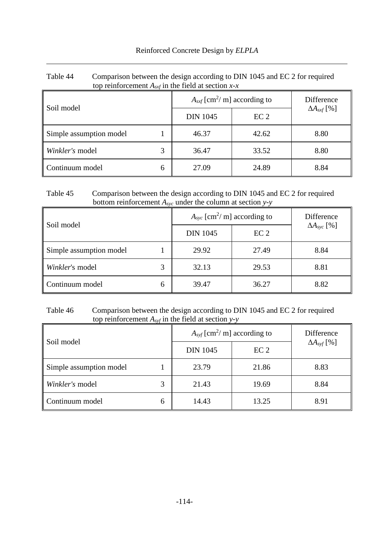| top reinforcement $A_{sxf}$ in the field at section $x-x$ |   |                                              |                 |                      |  |
|-----------------------------------------------------------|---|----------------------------------------------|-----------------|----------------------|--|
| Soil model                                                |   | $A_{sxf}$ [cm <sup>2</sup> / m] according to |                 | Difference           |  |
|                                                           |   | <b>DIN 1045</b>                              | EC <sub>2</sub> | $\Delta A_{sxf}$ [%] |  |
| Simple assumption model                                   |   | 46.37                                        | 42.62           | 8.80                 |  |
| Winkler's model                                           |   | 36.47                                        | 33.52           | 8.80                 |  |
| Continuum model                                           | 6 | 27.09                                        | 24.89           | 8.84                 |  |

| Table 44 | Comparison between the design according to DIN 1045 and EC 2 for required |
|----------|---------------------------------------------------------------------------|
|          | top reinforcement $A_{sxf}$ in the field at section $x-x$                 |

## Table 45 Comparison between the design according to DIN 1045 and EC 2 for required bottom reinforcement *Asyc* under the column at section *y-y*

| Soil model              |   | $A_{\rm{src}}$ [cm <sup>2</sup> /m] according to |                 | Difference                |
|-------------------------|---|--------------------------------------------------|-----------------|---------------------------|
|                         |   | <b>DIN 1045</b>                                  | EC <sub>2</sub> | $\Delta A_{\rm{SVC}}$ [%] |
| Simple assumption model |   | 29.92                                            | 27.49           | 8.84                      |
| Winkler's model         |   | 32.13                                            | 29.53           | 8.81                      |
| Continuum model         | 6 | 39.47                                            | 36.27           | 8.82                      |

## <span id="page-31-0"></span>Table 46 Comparison between the design according to DIN 1045 and EC 2 for required top reinforcement *Asyf* in the field at section *y-y*

| Soil model              |   | $A_{syf}$ [cm <sup>2</sup> / m] according to |                 | Difference           |
|-------------------------|---|----------------------------------------------|-----------------|----------------------|
|                         |   | <b>DIN 1045</b>                              | EC <sub>2</sub> | $\Delta A_{svf}$ [%] |
| Simple assumption model |   | 23.79                                        | 21.86           | 8.83                 |
| Winkler's model         |   | 21.43                                        | 19.69           | 8.84                 |
| Continuum model         | 6 | 14.43                                        | 13.25           | 8.91                 |